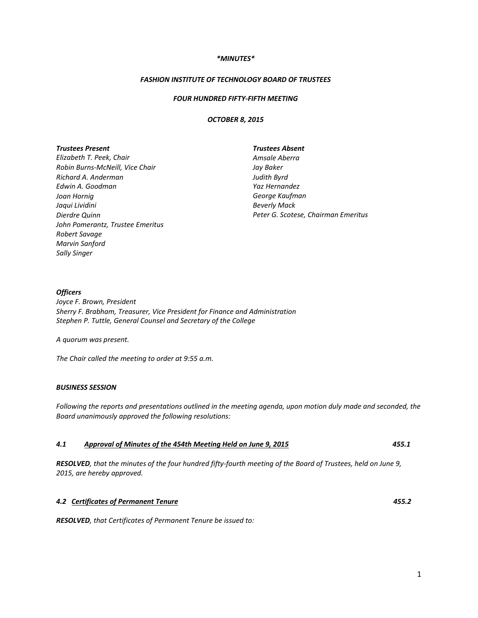## *\*MINUTES\**

## *FASHION INSTITUTE OF TECHNOLOGY BOARD OF TRUSTEES*

## *FOUR HUNDRED FIFTY‐FIFTH MEETING*

### *OCTOBER 8, 2015*

### *Trustees Present*

*Elizabeth T. Peek, Chair Robin Burns‐McNeill, Vice Chair Richard A. Anderman Edwin A. Goodman Joan Hornig Jaqui Lividini Dierdre Quinn John Pomerantz, Trustee Emeritus Robert Savage Marvin Sanford Sally Singer*

#### *Trustees Absent*

*Amsale Aberra Jay Baker Judith Byrd Yaz Hernandez George Kaufman Beverly Mack Peter G. Scotese, Chairman Emeritus*

## *Officers*

*Joyce F. Brown, President Sherry F. Brabham, Treasurer, Vice President for Finance and Administration Stephen P. Tuttle, General Counsel and Secretary of the College*

*A quorum was present.*

*The Chair called the meeting to order at 9:55 a.m.*

## *BUSINESS SESSION*

Following the reports and presentations outlined in the meeting agenda, upon motion duly made and seconded, the *Board unanimously approved the following resolutions:*

## *4.1 Approval of Minutes of the 454th Meeting Held on June 9, 2015 455.1*

RESOLVED, that the minutes of the four hundred fifty-fourth meeting of the Board of Trustees, held on June 9, *2015, are hereby approved.*

# *4.2 Certificates of Permanent Tenure 455.2*

*RESOLVED, that Certificates of Permanent Tenure be issued to:*